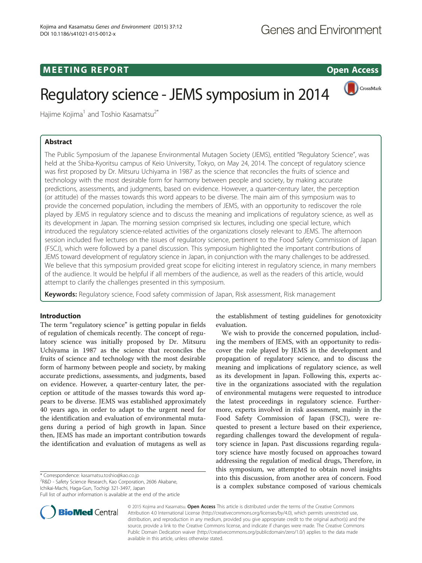## **MEETING REPORT CONSUMER ACCESS**

# Regulatory science - JEMS symposium in 2014



Hajime Kojima<sup>1</sup> and Toshio Kasamatsu<sup>2\*</sup>

## Abstract

The Public Symposium of the Japanese Environmental Mutagen Society (JEMS), entitled "Regulatory Science", was held at the Shiba-Kyoritsu campus of Keio University, Tokyo, on May 24, 2014. The concept of regulatory science was first proposed by Dr. Mitsuru Uchiyama in 1987 as the science that reconciles the fruits of science and technology with the most desirable form for harmony between people and society, by making accurate predictions, assessments, and judgments, based on evidence. However, a quarter-century later, the perception (or attitude) of the masses towards this word appears to be diverse. The main aim of this symposium was to provide the concerned population, including the members of JEMS, with an opportunity to rediscover the role played by JEMS in regulatory science and to discuss the meaning and implications of regulatory science, as well as its development in Japan. The morning session comprised six lectures, including one special lecture, which introduced the regulatory science-related activities of the organizations closely relevant to JEMS. The afternoon session included five lectures on the issues of regulatory science, pertinent to the Food Safety Commission of Japan (FSCJ), which were followed by a panel discussion. This symposium highlighted the important contributions of JEMS toward development of regulatory science in Japan, in conjunction with the many challenges to be addressed. We believe that this symposium provided great scope for eliciting interest in regulatory science, in many members of the audience. It would be helpful if all members of the audience, as well as the readers of this article, would attempt to clarify the challenges presented in this symposium.

Keywords: Regulatory science, Food safety commission of Japan, Risk assessment, Risk management

## Introduction

The term "regulatory science" is getting popular in fields of regulation of chemicals recently. The concept of regulatory science was initially proposed by Dr. Mitsuru Uchiyama in 1987 as the science that reconciles the fruits of science and technology with the most desirable form of harmony between people and society, by making accurate predictions, assessments, and judgments, based on evidence. However, a quarter-century later, the perception or attitude of the masses towards this word appears to be diverse. JEMS was established approximately 40 years ago, in order to adapt to the urgent need for the identification and evaluation of environmental mutagens during a period of high growth in Japan. Since then, JEMS has made an important contribution towards the identification and evaluation of mutagens as well as

\* Correspondence: [kasamatsu.toshio@kao.co.jp](mailto:kasamatsu.toshio@kao.co.jp) <sup>2</sup>

R&D - Safety Science Research, Kao Corporation, 2606 Akabane, Ichikai-Machi, Haga-Gun, Tochigi 321-3497, Japan

Full list of author information is available at the end of the article



the establishment of testing guidelines for genotoxicity evaluation.

We wish to provide the concerned population, including the members of JEMS, with an opportunity to rediscover the role played by JEMS in the development and propagation of regulatory science, and to discuss the meaning and implications of regulatory science, as well as its development in Japan. Following this, experts active in the organizations associated with the regulation of environmental mutagens were requested to introduce the latest proceedings in regulatory science. Furthermore, experts involved in risk assessment, mainly in the Food Safety Commission of Japan (FSCJ), were requested to present a lecture based on their experience, regarding challenges toward the development of regulatory science in Japan. Past discussions regarding regulatory science have mostly focused on approaches toward addressing the regulation of medical drugs, Therefore, in this symposium, we attempted to obtain novel insights into this discussion, from another area of concern. Food is a complex substance composed of various chemicals

© 2015 Kojima and Kasamatsu. Open Access This article is distributed under the terms of the Creative Commons Attribution 4.0 International License [\(http://creativecommons.org/licenses/by/4.0](http://creativecommons.org/licenses/by/4.0)), which permits unrestricted use, distribution, and reproduction in any medium, provided you give appropriate credit to the original author(s) and the source, provide a link to the Creative Commons license, and indicate if changes were made. The Creative Commons Public Domain Dedication waiver ([http://creativecommons.org/publicdomain/zero/1.0/\)](http://creativecommons.org/publicdomain/zero/1.0/) applies to the data made available in this article, unless otherwise stated.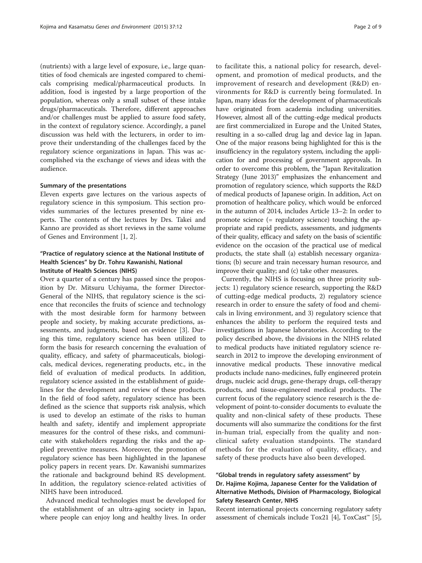(nutrients) with a large level of exposure, i.e., large quantities of food chemicals are ingested compared to chemicals comprising medical/pharmaceutical products. In addition, food is ingested by a large proportion of the population, whereas only a small subset of these intake drugs/pharmaceuticals. Therefore, different approaches and/or challenges must be applied to assure food safety, in the context of regulatory science. Accordingly, a panel discussion was held with the lecturers, in order to improve their understanding of the challenges faced by the regulatory science organizations in Japan. This was accomplished via the exchange of views and ideas with the audience.

#### Summary of the presentations

Eleven experts gave lectures on the various aspects of regulatory science in this symposium. This section provides summaries of the lectures presented by nine experts. The contents of the lectures by Drs. Takei and Kanno are provided as short reviews in the same volume of Genes and Environment [\[1](#page-7-0), [2](#page-7-0)].

## "Practice of regulatory science at the National Institute of Health Sciences" by Dr. Tohru Kawanishi, National Institute of Health Sciences (NIHS)

Over a quarter of a century has passed since the proposition by Dr. Mitsuru Uchiyama, the former Director-General of the NIHS, that regulatory science is the science that reconciles the fruits of science and technology with the most desirable form for harmony between people and society, by making accurate predictions, assessments, and judgments, based on evidence [[3\]](#page-7-0). During this time, regulatory science has been utilized to form the basis for research concerning the evaluation of quality, efficacy, and safety of pharmaceuticals, biologicals, medical devices, regenerating products, etc., in the field of evaluation of medical products. In addition, regulatory science assisted in the establishment of guidelines for the development and review of these products. In the field of food safety, regulatory science has been defined as the science that supports risk analysis, which is used to develop an estimate of the risks to human health and safety, identify and implement appropriate measures for the control of these risks, and communicate with stakeholders regarding the risks and the applied preventive measures. Moreover, the promotion of regulatory science has been highlighted in the Japanese policy papers in recent years. Dr. Kawanishi summarizes the rationale and background behind RS development. In addition, the regulatory science-related activities of NIHS have been introduced.

Advanced medical technologies must be developed for the establishment of an ultra-aging society in Japan, where people can enjoy long and healthy lives. In order

to facilitate this, a national policy for research, development, and promotion of medical products, and the improvement of research and development (R&D) environments for R&D is currently being formulated. In Japan, many ideas for the development of pharmaceuticals have originated from academia including universities. However, almost all of the cutting-edge medical products are first commercialized in Europe and the United States, resulting in a so-called drug lag and device lag in Japan. One of the major reasons being highlighted for this is the insufficiency in the regulatory system, including the application for and processing of government approvals. In order to overcome this problem, the "Japan Revitalization Strategy (June 2013)" emphasizes the enhancement and promotion of regulatory science, which supports the R&D of medical products of Japanese origin. In addition, Act on promotion of healthcare policy, which would be enforced in the autumn of 2014, includes Article 13–2: In order to promote science (= regulatory science) touching the appropriate and rapid predicts, assessments, and judgments of their quality, efficacy and safety on the basis of scientific evidence on the occasion of the practical use of medical products, the state shall (a) establish necessary organizations; (b) secure and train necessary human resource, and improve their quality; and (c) take other measures.

Currently, the NIHS is focusing on three priority subjects: 1) regulatory science research, supporting the R&D of cutting-edge medical products, 2) regulatory science research in order to ensure the safety of food and chemicals in living environment, and 3) regulatory science that enhances the ability to perform the required tests and investigations in Japanese laboratories. According to the policy described above, the divisions in the NIHS related to medical products have initiated regulatory science research in 2012 to improve the developing environment of innovative medical products. These innovative medical products include nano-medicines, fully engineered protein drugs, nucleic acid drugs, gene-therapy drugs, cell-therapy products, and tissue-engineered medical products. The current focus of the regulatory science research is the development of point-to-consider documents to evaluate the quality and non-clinical safety of these products. These documents will also summarize the conditions for the first in-human trial, especially from the quality and nonclinical safety evaluation standpoints. The standard methods for the evaluation of quality, efficacy, and safety of these products have also been developed.

## "Global trends in regulatory safety assessment" by Dr. Hajime Kojima, Japanese Center for the Validation of Alternative Methods, Division of Pharmacology, Biological Safety Research Center, NIHS

Recent international projects concerning regulatory safety assessment of chemicals include Tox21 [[4\]](#page-7-0), ToxCast<sup>™</sup> [[5](#page-8-0)],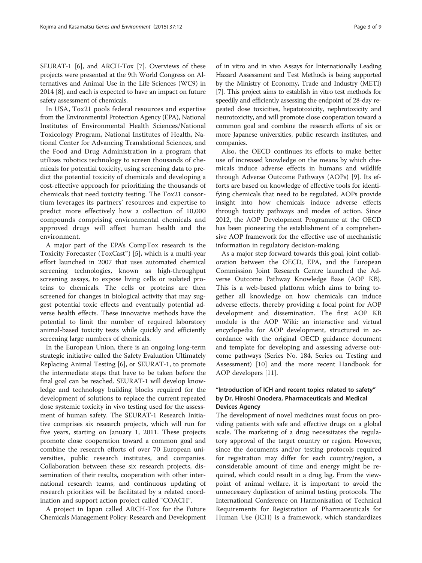SEURAT-1 [[6](#page-8-0)], and ARCH-Tox [\[7](#page-8-0)]. Overviews of these projects were presented at the 9th World Congress on Alternatives and Animal Use in the Life Sciences (WC9) in 2014 [[8\]](#page-8-0), and each is expected to have an impact on future safety assessment of chemicals.

In USA, Tox21 pools federal resources and expertise from the Environmental Protection Agency (EPA), National Institutes of Environmental Health Sciences/National Toxicology Program, National Institutes of Health, National Center for Advancing Translational Sciences, and the Food and Drug Administration in a program that utilizes robotics technology to screen thousands of chemicals for potential toxicity, using screening data to predict the potential toxicity of chemicals and developing a cost-effective approach for prioritizing the thousands of chemicals that need toxicity testing. The Tox21 consortium leverages its partners' resources and expertise to predict more effectively how a collection of 10,000 compounds comprising environmental chemicals and approved drugs will affect human health and the environment.

A major part of the EPA's CompTox research is the Toxicity Forecaster (ToxCast™) [[5](#page-8-0)], which is a multi-year effort launched in 2007 that uses automated chemical screening technologies, known as high-throughput screening assays, to expose living cells or isolated proteins to chemicals. The cells or proteins are then screened for changes in biological activity that may suggest potential toxic effects and eventually potential adverse health effects. These innovative methods have the potential to limit the number of required laboratory animal-based toxicity tests while quickly and efficiently screening large numbers of chemicals.

In the European Union, there is an ongoing long-term strategic initiative called the Safety Evaluation Ultimately Replacing Animal Testing [\[6](#page-8-0)], or SEURAT-1, to promote the intermediate steps that have to be taken before the final goal can be reached. SEURAT-1 will develop knowledge and technology building blocks required for the development of solutions to replace the current repeated dose systemic toxicity in vivo testing used for the assessment of human safety. The SEURAT-1 Research Initiative comprises six research projects, which will run for five years, starting on January 1, 2011. These projects promote close cooperation toward a common goal and combine the research efforts of over 70 European universities, public research institutes, and companies. Collaboration between these six research projects, dissemination of their results, cooperation with other international research teams, and continuous updating of research priorities will be facilitated by a related coordination and support action project called "COACH".

A project in Japan called ARCH-Tox for the Future Chemicals Management Policy: Research and Development

of in vitro and in vivo Assays for Internationally Leading Hazard Assessment and Test Methods is being supported by the Ministry of Economy, Trade and Industry (METI) [[7](#page-8-0)]. This project aims to establish in vitro test methods for speedily and efficiently assessing the endpoint of 28-day repeated dose toxicities, hepatotoxicity, nephrotoxicity and neurotoxicity, and will promote close cooperation toward a common goal and combine the research efforts of six or more Japanese universities, public research institutes, and

Also, the OECD continues its efforts to make better use of increased knowledge on the means by which chemicals induce adverse effects in humans and wildlife through Adverse Outcome Pathways (AOPs) [\[9](#page-8-0)]. Its efforts are based on knowledge of effective tools for identifying chemicals that need to be regulated. AOPs provide insight into how chemicals induce adverse effects through toxicity pathways and modes of action. Since 2012, the AOP Development Programme at the OECD has been pioneering the establishment of a comprehensive AOP framework for the effective use of mechanistic information in regulatory decision-making.

companies.

As a major step forward towards this goal, joint collaboration between the OECD, EPA, and the European Commission Joint Research Centre launched the Adverse Outcome Pathway Knowledge Base (AOP KB). This is a web-based platform which aims to bring together all knowledge on how chemicals can induce adverse effects, thereby providing a focal point for AOP development and dissemination. The first AOP KB module is the AOP Wiki: an interactive and virtual encyclopedia for AOP development, structured in accordance with the original OECD guidance document and template for developing and assessing adverse outcome pathways (Series No. 184, Series on Testing and Assessment) [\[10](#page-8-0)] and the more recent Handbook for AOP developers [\[11](#page-8-0)].

## "Introduction of ICH and recent topics related to safety" by Dr. Hiroshi Onodera, Pharmaceuticals and Medical Devices Agency

The development of novel medicines must focus on providing patients with safe and effective drugs on a global scale. The marketing of a drug necessitates the regulatory approval of the target country or region. However, since the documents and/or testing protocols required for registration may differ for each country/region, a considerable amount of time and energy might be required, which could result in a drug lag. From the viewpoint of animal welfare, it is important to avoid the unnecessary duplication of animal testing protocols. The International Conference on Harmonisation of Technical Requirements for Registration of Pharmaceuticals for Human Use (ICH) is a framework, which standardizes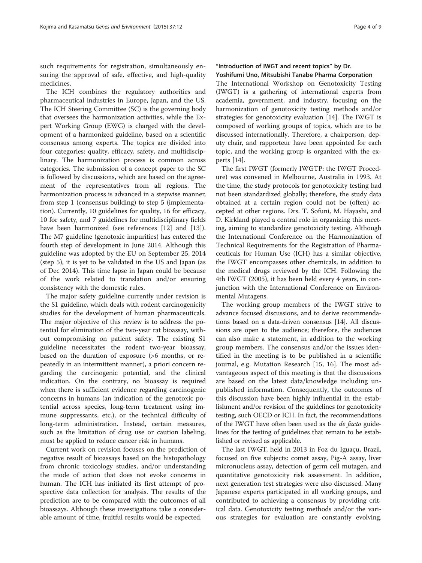such requirements for registration, simultaneously ensuring the approval of safe, effective, and high-quality medicines.

The ICH combines the regulatory authorities and pharmaceutical industries in Europe, Japan, and the US. The ICH Steering Committee (SC) is the governing body that oversees the harmonization activities, while the Expert Working Group (EWG) is charged with the development of a harmonized guideline, based on a scientific consensus among experts. The topics are divided into four categories: quality, efficacy, safety, and multidisciplinary. The harmonization process is common across categories. The submission of a concept paper to the SC is followed by discussions, which are based on the agreement of the representatives from all regions. The harmonization process is advanced in a stepwise manner, from step 1 (consensus building) to step 5 (implementation). Currently, 10 guidelines for quality, 16 for efficacy, 10 for safety, and 7 guidelines for multidisciplinary fields have been harmonized (see references [\[12](#page-8-0)] and [\[13](#page-8-0)]). The M7 guideline (genotoxic impurities) has entered the fourth step of development in June 2014. Although this guideline was adopted by the EU on September 25, 2014 (step 5), it is yet to be validated in the US and Japan (as of Dec 2014). This time lapse in Japan could be because of the work related to translation and/or ensuring consistency with the domestic rules.

The major safety guideline currently under revision is the S1 guideline, which deals with rodent carcinogenicity studies for the development of human pharmaceuticals. The major objective of this review is to address the potential for elimination of the two-year rat bioassay, without compromising on patient safety. The existing S1 guideline necessitates the rodent two-year bioassay, based on the duration of exposure (>6 months, or repeatedly in an intermittent manner), a priori concern regarding the carcinogenic potential, and the clinical indication. On the contrary, no bioassay is required when there is sufficient evidence regarding carcinogenic concerns in humans (an indication of the genotoxic potential across species, long-term treatment using immune suppressants, etc.), or the technical difficulty of long-term administration. Instead, certain measures, such as the limitation of drug use or caution labeling, must be applied to reduce cancer risk in humans.

Current work on revision focuses on the prediction of negative result of bioassays based on the histopathology from chronic toxicology studies, and/or understanding the mode of action that does not evoke concerns in human. The ICH has initiated its first attempt of prospective data collection for analysis. The results of the prediction are to be compared with the outcomes of all bioassays. Although these investigations take a considerable amount of time, fruitful results would be expected.

## "Introduction of IWGT and recent topics" by Dr. Yoshifumi Uno, Mitsubishi Tanabe Pharma Corporation

The International Workshop on Genotoxicity Testing (IWGT) is a gathering of international experts from academia, government, and industry, focusing on the harmonization of genotoxicity testing methods and/or strategies for genotoxicity evaluation [\[14](#page-8-0)]. The IWGT is composed of working groups of topics, which are to be discussed internationally. Therefore, a chairperson, deputy chair, and rapporteur have been appointed for each topic, and the working group is organized with the experts [\[14\]](#page-8-0).

The first IWGT (formerly IWGTP: the IWGT Procedure) was convened in Melbourne, Australia in 1993. At the time, the study protocols for genotoxicity testing had not been standardized globally; therefore, the study data obtained at a certain region could not be (often) accepted at other regions. Drs. T. Sofuni, M. Hayashi, and D. Kirkland played a central role in organizing this meeting, aiming to standardize genotoxicity testing. Although the International Conference on the Harmonization of Technical Requirements for the Registration of Pharmaceuticals for Human Use (ICH) has a similar objective, the IWGT encompasses other chemicals, in addition to the medical drugs reviewed by the ICH. Following the 4th IWGT (2005), it has been held every 4 years, in conjunction with the International Conference on Environmental Mutagens.

The working group members of the IWGT strive to advance focused discussions, and to derive recommendations based on a data-driven consensus [[14](#page-8-0)]. All discussions are open to the audience; therefore, the audiences can also make a statement, in addition to the working group members. The consensus and/or the issues identified in the meeting is to be published in a scientific journal, e.g. Mutation Research [[15](#page-8-0), [16](#page-8-0)]. The most advantageous aspect of this meeting is that the discussions are based on the latest data/knowledge including unpublished information. Consequently, the outcomes of this discussion have been highly influential in the establishment and/or revision of the guidelines for genotoxicity testing, such OECD or ICH. In fact, the recommendations of the IWGT have often been used as the *de facto* guidelines for the testing of guidelines that remain to be established or revised as applicable.

The last IWGT, held in 2013 in Foz du Iguaçu, Brazil, focused on five subjects: comet assay, Pig-A assay, liver micronucleus assay, detection of germ cell mutagen, and quantitative genotoxicity risk assessment. In addition, next generation test strategies were also discussed. Many Japanese experts participated in all working groups, and contributed to achieving a consensus by providing critical data. Genotoxicity testing methods and/or the various strategies for evaluation are constantly evolving.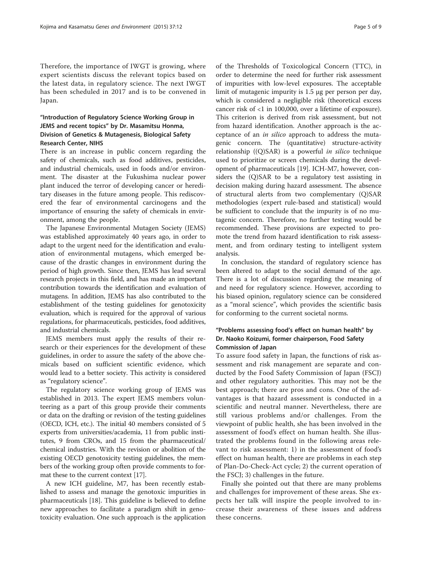Therefore, the importance of IWGT is growing, where expert scientists discuss the relevant topics based on the latest data, in regulatory science. The next IWGT has been scheduled in 2017 and is to be convened in Japan.

## "Introduction of Regulatory Science Working Group in JEMS and recent topics" by Dr. Masamitsu Honma, Division of Genetics & Mutagenesis, Biological Safety Research Center, NIHS

There is an increase in public concern regarding the safety of chemicals, such as food additives, pesticides, and industrial chemicals, used in foods and/or environment. The disaster at the Fukushima nuclear power plant induced the terror of developing cancer or hereditary diseases in the future among people. This rediscovered the fear of environmental carcinogens and the importance of ensuring the safety of chemicals in environment, among the people.

The Japanese Environmental Mutagen Society (JEMS) was established approximately 40 years ago, in order to adapt to the urgent need for the identification and evaluation of environmental mutagens, which emerged because of the drastic changes in environment during the period of high growth. Since then, JEMS has lead several research projects in this field, and has made an important contribution towards the identification and evaluation of mutagens. In addition, JEMS has also contributed to the establishment of the testing guidelines for genotoxicity evaluation, which is required for the approval of various regulations, for pharmaceuticals, pesticides, food additives, and industrial chemicals.

JEMS members must apply the results of their research or their experiences for the development of these guidelines, in order to assure the safety of the above chemicals based on sufficient scientific evidence, which would lead to a better society. This activity is considered as "regulatory science".

The regulatory science working group of JEMS was established in 2013. The expert JEMS members volunteering as a part of this group provide their comments or data on the drafting or revision of the testing guidelines (OECD, ICH, etc.). The initial 40 members consisted of 5 experts from universities/academia, 11 from public institutes, 9 from CROs, and 15 from the pharmaceutical/ chemical industries. With the revision or abolition of the existing OECD genotoxicity testing guidelines, the members of the working group often provide comments to format these to the current context [[17](#page-8-0)].

A new ICH guideline, M7, has been recently established to assess and manage the genotoxic impurities in pharmaceuticals [\[18\]](#page-8-0). This guideline is believed to define new approaches to facilitate a paradigm shift in genotoxicity evaluation. One such approach is the application of the Thresholds of Toxicological Concern (TTC), in order to determine the need for further risk assessment of impurities with low-level exposures. The acceptable limit of mutagenic impurity is 1.5 μg per person per day, which is considered a negligible risk (theoretical excess cancer risk of <1 in 100,000, over a lifetime of exposure). This criterion is derived from risk assessment, but not from hazard identification. Another approach is the acceptance of an in silico approach to address the mutagenic concern. The (quantitative) structure-activity relationship  $((Q)SAR)$  is a powerful *in silico* technique used to prioritize or screen chemicals during the development of pharmaceuticals [[19\]](#page-8-0). ICH-M7, however, considers the (Q)SAR to be a regulatory test assisting in decision making during hazard assessment. The absence of structural alerts from two complementary (Q)SAR methodologies (expert rule-based and statistical) would be sufficient to conclude that the impurity is of no mutagenic concern. Therefore, no further testing would be recommended. These provisions are expected to promote the trend from hazard identification to risk assessment, and from ordinary testing to intelligent system analysis.

In conclusion, the standard of regulatory science has been altered to adapt to the social demand of the age. There is a lot of discussion regarding the meaning of and need for regulatory science. However, according to his biased opinion, regulatory science can be considered as a "moral science", which provides the scientific basis for conforming to the current societal norms.

## "Problems assessing food's effect on human health" by Dr. Naoko Koizumi, former chairperson, Food Safety Commission of Japan

To assure food safety in Japan, the functions of risk assessment and risk management are separate and conducted by the Food Safety Commission of Japan (FSCJ) and other regulatory authorities. This may not be the best approach; there are pros and cons. One of the advantages is that hazard assessment is conducted in a scientific and neutral manner. Nevertheless, there are still various problems and/or challenges. From the viewpoint of public health, she has been involved in the assessment of food's effect on human health. She illustrated the problems found in the following areas relevant to risk assessment: 1) in the assessment of food's effect on human health, there are problems in each step of Plan-Do-Check-Act cycle; 2) the current operation of the FSCJ; 3) challenges in the future.

Finally she pointed out that there are many problems and challenges for improvement of these areas. She expects her talk will inspire the people involved to increase their awareness of these issues and address these concerns.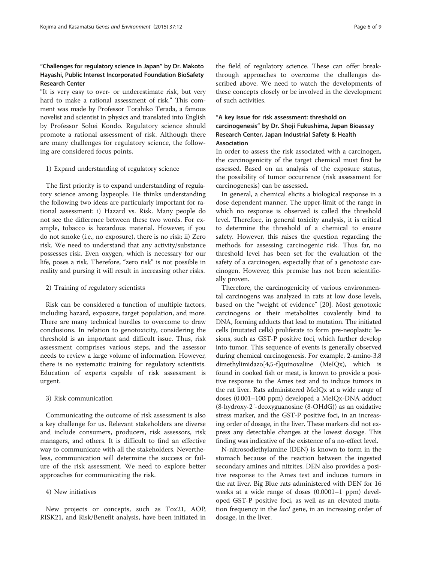## "Challenges for regulatory science in Japan" by Dr. Makoto Hayashi, Public Interest Incorporated Foundation BioSafety Research Center

"It is very easy to over- or underestimate risk, but very hard to make a rational assessment of risk." This comment was made by Professor Torahiko Terada, a famous novelist and scientist in physics and translated into English by Professor Sohei Kondo. Regulatory science should promote a rational assessment of risk. Although there are many challenges for regulatory science, the following are considered focus points.

## 1) Expand understanding of regulatory science

The first priority is to expand understanding of regulatory science among laypeople. He thinks understanding the following two ideas are particularly important for rational assessment: i) Hazard vs. Risk. Many people do not see the difference between these two words. For example, tobacco is hazardous material. However, if you do not smoke (i.e., no exposure), there is no risk; ii) Zero risk. We need to understand that any activity/substance possesses risk. Even oxygen, which is necessary for our life, poses a risk. Therefore, "zero risk" is not possible in reality and pursing it will result in increasing other risks.

### 2) Training of regulatory scientists

Risk can be considered a function of multiple factors, including hazard, exposure, target population, and more. There are many technical hurdles to overcome to draw conclusions. In relation to genotoxicity, considering the threshold is an important and difficult issue. Thus, risk assessment comprises various steps, and the assessor needs to review a large volume of information. However, there is no systematic training for regulatory scientists. Education of experts capable of risk assessment is urgent.

### 3) Risk communication

Communicating the outcome of risk assessment is also a key challenge for us. Relevant stakeholders are diverse and include consumers, producers, risk assessors, risk managers, and others. It is difficult to find an effective way to communicate with all the stakeholders. Nevertheless, communication will determine the success or failure of the risk assessment. We need to explore better approaches for communicating the risk.

#### 4) New initiatives

New projects or concepts, such as Tox21, AOP, RISK21, and Risk/Benefit analysis, have been initiated in

the field of regulatory science. These can offer breakthrough approaches to overcome the challenges described above. We need to watch the developments of these concepts closely or be involved in the development of such activities.

## "A key issue for risk assessment: threshold on carcinogenesis" by Dr. Shoji Fukushima, Japan Bioassay Research Center, Japan Industrial Safety & Health Association

In order to assess the risk associated with a carcinogen, the carcinogenicity of the target chemical must first be assessed. Based on an analysis of the exposure status, the possibility of tumor occurrence (risk assessment for carcinogenesis) can be assessed.

In general, a chemical elicits a biological response in a dose dependent manner. The upper-limit of the range in which no response is observed is called the threshold level. Therefore, in general toxicity analysis, it is critical to determine the threshold of a chemical to ensure safety. However, this raises the question regarding the methods for assessing carcinogenic risk. Thus far, no threshold level has been set for the evaluation of the safety of a carcinogen, especially that of a genotoxic carcinogen. However, this premise has not been scientifically proven.

Therefore, the carcinogenicity of various environmental carcinogens was analyzed in rats at low dose levels, based on the "weight of evidence" [[20\]](#page-8-0). Most genotoxic carcinogens or their metabolites covalently bind to DNA, forming adducts that lead to mutation. The initiated cells (mutated cells) proliferate to form pre-neoplastic lesions, such as GST-P positive foci, which further develop into tumor. This sequence of events is generally observed during chemical carcinogenesis. For example, 2-amino-3,8 dimethylimidazo[4,5-f]quinoxaline (MeIQx), which is found in cooked fish or meat, is known to provide a positive response to the Ames test and to induce tumors in the rat liver. Rats administered MeIQx at a wide range of doses (0.001–100 ppm) developed a MeIQx-DNA adduct (8-hydroxy-2′-deoxyguanosine (8-OHdG)) as an oxidative stress marker, and the GST-P positive foci, in an increasing order of dosage, in the liver. These markers did not express any detectable changes at the lowest dosage. This finding was indicative of the existence of a no-effect level.

N-nitrosodiethylamine (DEN) is known to form in the stomach because of the reaction between the ingested secondary amines and nitrites. DEN also provides a positive response to the Ames test and induces tumors in the rat liver. Big Blue rats administered with DEN for 16 weeks at a wide range of doses (0.0001–1 ppm) developed GST-P positive foci, as well as an elevated mutation frequency in the *lacI* gene, in an increasing order of dosage, in the liver.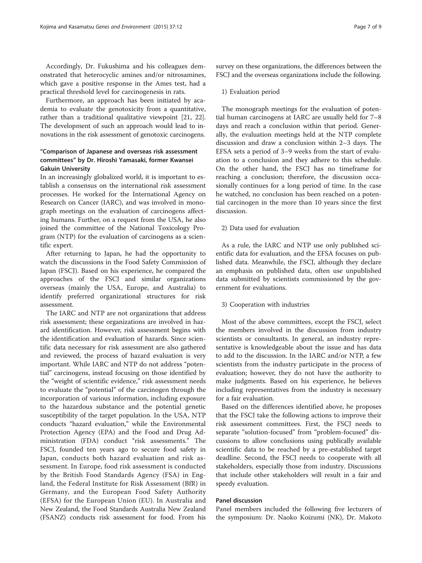Accordingly, Dr. Fukushima and his colleagues demonstrated that heterocyclic amines and/or nitrosamines, which gave a positive response in the Ames test, had a practical threshold level for carcinogenesis in rats.

Furthermore, an approach has been initiated by academia to evaluate the genotoxicity from a quantitative, rather than a traditional qualitative viewpoint [[21, 22](#page-8-0)]. The development of such an approach would lead to innovations in the risk assessment of genotoxic carcinogens.

## "Comparison of Japanese and overseas risk assessment committees" by Dr. Hiroshi Yamasaki, former Kwansei Gakuin University

In an increasingly globalized world, it is important to establish a consensus on the international risk assessment processes. He worked for the International Agency on Research on Cancer (IARC), and was involved in monograph meetings on the evaluation of carcinogens affecting humans. Further, on a request from the USA, he also joined the committee of the National Toxicology Program (NTP) for the evaluation of carcinogens as a scientific expert.

After returning to Japan, he had the opportunity to watch the discussions in the Food Safety Commission of Japan (FSCJ). Based on his experience, he compared the approaches of the FSCJ and similar organizations overseas (mainly the USA, Europe, and Australia) to identify preferred organizational structures for risk assessment.

The IARC and NTP are not organizations that address risk assessment; these organizations are involved in hazard identification. However, risk assessment begins with the identification and evaluation of hazards. Since scientific data necessary for risk assessment are also gathered and reviewed, the process of hazard evaluation is very important. While IARC and NTP do not address "potential" carcinogens, instead focusing on those identified by the "weight of scientific evidence," risk assessment needs to evaluate the "potential" of the carcinogen through the incorporation of various information, including exposure to the hazardous substance and the potential genetic susceptibility of the target population. In the USA, NTP conducts "hazard evaluation," while the Environmental Protection Agency (EPA) and the Food and Drug Administration (FDA) conduct "risk assessments." The FSCJ, founded ten years ago to secure food safety in Japan, conducts both hazard evaluation and risk assessment. In Europe, food risk assessment is conducted by the British Food Standards Agency (FSA) in England, the Federal Institute for Risk Assessment (BfR) in Germany, and the European Food Safety Authority (EFSA) for the European Union (EU). In Australia and New Zealand, the Food Standards Australia New Zealand (FSANZ) conducts risk assessment for food. From his survey on these organizations, the differences between the FSCJ and the overseas organizations include the following.

## 1) Evaluation period

The monograph meetings for the evaluation of potential human carcinogens at IARC are usually held for 7–8 days and reach a conclusion within that period. Generally, the evaluation meetings held at the NTP complete discussion and draw a conclusion within 2–3 days. The EFSA sets a period of 3–9 weeks from the start of evaluation to a conclusion and they adhere to this schedule. On the other hand, the FSCJ has no timeframe for reaching a conclusion; therefore, the discussion occasionally continues for a long period of time. In the case he watched, no conclusion has been reached on a potential carcinogen in the more than 10 years since the first discussion.

### 2) Data used for evaluation

As a rule, the IARC and NTP use only published scientific data for evaluation, and the EFSA focuses on published data. Meanwhile, the FSCJ, although they declare an emphasis on published data, often use unpublished data submitted by scientists commissioned by the government for evaluations.

#### 3) Cooperation with industries

Most of the above committees, except the FSCJ, select the members involved in the discussion from industry scientists or consultants. In general, an industry representative is knowledgeable about the issue and has data to add to the discussion. In the IARC and/or NTP, a few scientists from the industry participate in the process of evaluation; however, they do not have the authority to make judgments. Based on his experience, he believes including representatives from the industry is necessary for a fair evaluation.

Based on the differences identified above, he proposes that the FSCJ take the following actions to improve their risk assessment committees. First, the FSCJ needs to separate "solution-focused" from "problem-focused" discussions to allow conclusions using publically available scientific data to be reached by a pre-established target deadline. Second, the FSCJ needs to cooperate with all stakeholders, especially those from industry. Discussions that include other stakeholders will result in a fair and speedy evaluation.

## Panel discussion

Panel members included the following five lecturers of the symposium: Dr. Naoko Koizumi (NK), Dr. Makoto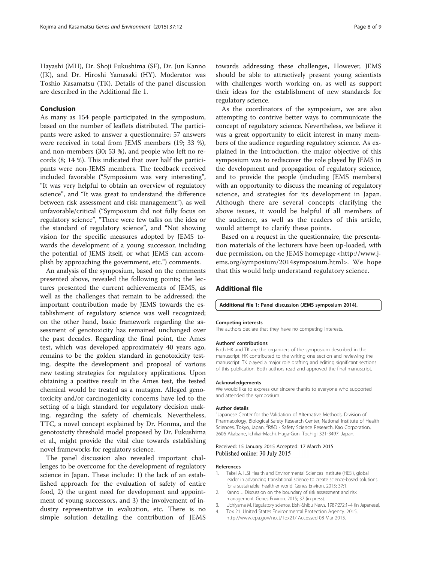<span id="page-7-0"></span>Hayashi (MH), Dr. Shoji Fukushima (SF), Dr. Jun Kanno (JK), and Dr. Hiroshi Yamasaki (HY). Moderator was Toshio Kasamatsu (TK). Details of the panel discussion are described in the Additional file 1.

## Conclusion

As many as 154 people participated in the symposium, based on the number of leaflets distributed. The participants were asked to answer a questionnaire; 57 answers were received in total from JEMS members (19; 33 %), and non-members (30; 53 %), and people who left no records (8; 14 %). This indicated that over half the participants were non-JEMS members. The feedback received included favorable ("Symposium was very interesting", "It was very helpful to obtain an overview of regulatory science", and "It was great to understand the difference between risk assessment and risk management"), as well unfavorable/critical ("Symposium did not fully focus on regulatory science", "There were few talks on the idea or the standard of regulatory science", and "Not showing vision for the specific measures adopted by JEMS towards the development of a young successor, including the potential of JEMS itself, or what JEMS can accomplish by approaching the government, etc.") comments.

An analysis of the symposium, based on the comments presented above, revealed the following points; the lectures presented the current achievements of JEMS, as well as the challenges that remain to be addressed; the important contribution made by JEMS towards the establishment of regulatory science was well recognized; on the other hand, basic framework regarding the assessment of genotoxicity has remained unchanged over the past decades. Regarding the final point, the Ames test, which was developed approximately 40 years ago, remains to be the golden standard in genotoxicity testing, despite the development and proposal of various new testing strategies for regulatory applications. Upon obtaining a positive result in the Ames test, the tested chemical would be treated as a mutagen. Alleged genotoxicity and/or carcinogenicity concerns have led to the setting of a high standard for regulatory decision making, regarding the safety of chemicals. Nevertheless, TTC, a novel concept explained by Dr. Honma, and the genotoxicity threshold model proposed by Dr. Fukushima et al., might provide the vital clue towards establishing novel frameworks for regulatory science.

The panel discussion also revealed important challenges to be overcome for the development of regulatory science in Japan. These include: 1) the lack of an established approach for the evaluation of safety of entire food, 2) the urgent need for development and appointment of young successors, and 3) the involvement of industry representative in evaluation, etc. There is no simple solution detailing the contribution of JEMS towards addressing these challenges, However, JEMS should be able to attractively present young scientists with challenges worth working on, as well as support their ideas for the establishment of new standards for regulatory science.

As the coordinators of the symposium, we are also attempting to contrive better ways to communicate the concept of regulatory science. Nevertheless, we believe it was a great opportunity to elicit interest in many members of the audience regarding regulatory science. As explained in the Introduction, the major objective of this symposium was to rediscover the role played by JEMS in the development and propagation of regulatory science, and to provide the people (including JEMS members) with an opportunity to discuss the meaning of regulatory science, and strategies for its development in Japan. Although there are several concepts clarifying the above issues, it would be helpful if all members of the audience, as well as the readers of this article, would attempt to clarify these points.

Based on a request in the questionnaire, the presentation materials of the lecturers have been up-loaded, with due permission, on the JEMS homepage [<http://www.j](http://www.j-ems.org/symposium/2014symposium.html)[ems.org/symposium/2014symposium.html>](http://www.j-ems.org/symposium/2014symposium.html). We hope that this would help understand regulatory science.

#### Additional file

#### [Additional file 1:](http://www.genesenvironment.com/content/supplementary/s41021-015-0012-x-s1.docx) Panel discussion (JEMS symposium 2014).

#### Competing interests

The authors declare that they have no competing interests.

#### Authors' contributions

Both HK and TK are the organizers of the symposium described in the manuscript. HK contributed to the writing one section and reviewing the manuscript. TK played a major role drafting and editing significant sections of this publication. Both authors read and approved the final manuscript.

#### Acknowledgements

We would like to express our sincere thanks to everyone who supported and attended the symposium.

#### Author details

<sup>1</sup> Japanese Center for the Validation of Alternative Methods, Division of Pharmacology, Biological Safety Research Center, National Institute of Health Sciences, Tokyo, Japan. <sup>2</sup>R&D - Safety Science Research, Kao Corporation, 2606 Akabane, Ichikai-Machi, Haga-Gun, Tochigi 321-3497, Japan.

### Received: 15 January 2015 Accepted: 17 March 2015 Published online: 30 July 2015

#### References

- 1. Takei A. ILSI Health and Environmental Sciences Institute (HESI), global leader in advancing translational science to create science-based solutions for a sustainable, healthier world. Genes Environ. 2015; 37:1.
- 2. Kanno J. Discussion on the boundary of risk assessment and risk management. Genes Environ. 2015; 37 (in press).
- 3. Uchiyama M. Regulatory science. Eishi-Shibu News. 1987;272:1–4 (in Japanese).
- 4. Tox 21. United States Environmental Protection Agency. 2015. <http://www.epa.gov/ncct/Tox21/> Accessed 08 Mar 2015.